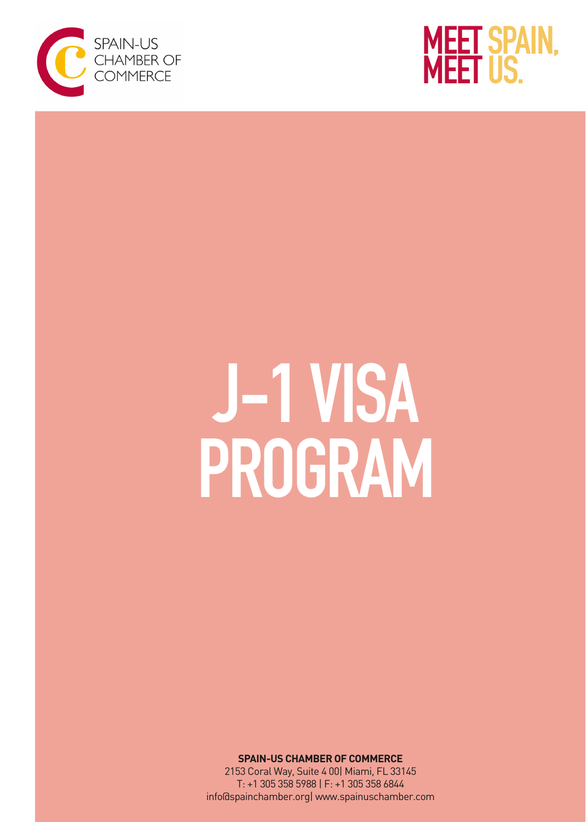



# J-1 VISA PROGRAM

**SPAIN-US CHAMBER OF COMMERCE**

2153 Coral Way, Suite 4 00| Miami, FL 33145 T: +1 305 358 5988 | F: +1 305 358 6844 info@spainchamber.org| [www.spainuschamber.com](http://spainuschamber.com/)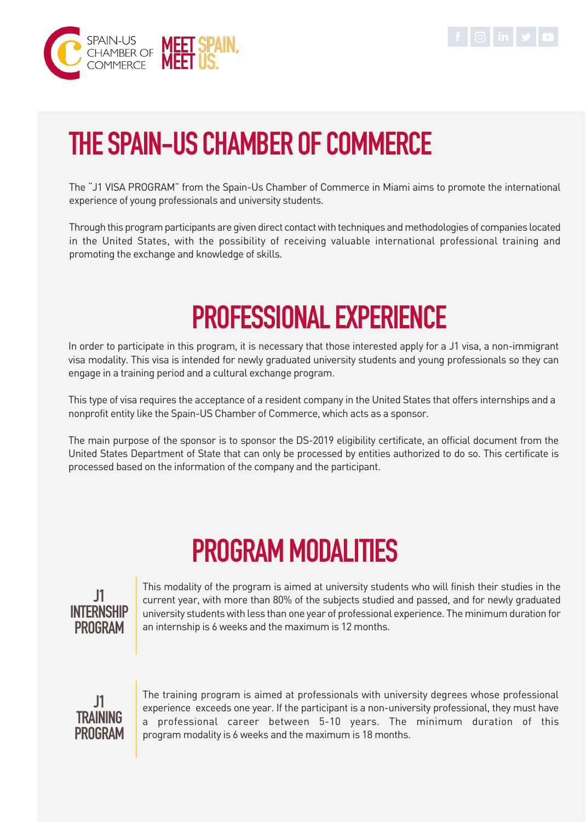



# THE SPAIN-US CHAMBER OF COMMERCE

The "J1 VISA PROGRAM" from the Spain-Us Chamber of Commerce in Miami aims to promote the international experience of young professionals and university students.

Through this program participants are given direct contact with techniques and methodologies of companies located in the United States, with the possibility of receiving valuable international professional training and promoting the exchange and knowledge of skills.

## PROFESSIONAL EXPERIENCE

In order to participate in this program, it is necessary that those interested apply for a J1 visa, a non-immigrant visa modality. This visa is intended for newly graduated university students and young professionals so they can engage in a training period and a cultural exchange program.

This type of visa requires the acceptance of a resident company in the United States that offers internships and a nonprofit entity like the Spain-US Chamber of Commerce, which acts as a sponsor.

The main purpose of the sponsor is to sponsor the DS-2019 eligibility certificate, an official document from the United States Department of State that can only be processed by entities authorized to do so. This certificate is processed based on the information of the company and the participant.

# PROGRAM MODALITIES



This modality of the program is aimed at university students who will finish their studies in the current year, with more than 80% of the subjects studied and passed, and for newly graduated university students with less than one year of professional experience. The minimum duration for an internship is 6 weeks and the maximum is 12 months.



The training program is aimed at professionals with university degrees whose professional experience exceeds one year. If the participant is a non-university professional, they must have a professional career between 5-10 years. The minimum duration of this program modality is 6 weeks and the maximum is 18 months.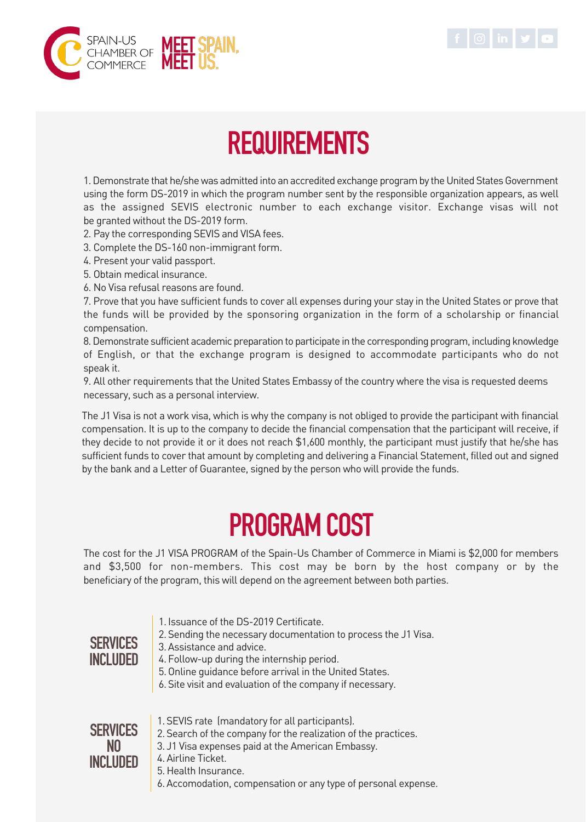



## **REQUIREMENTS**

1. Demonstrate that he/she was admitted into an accredited exchange program by the United States Government using the form DS-2019 in which the program number sent by the responsible organization appears, as well as the assigned SEVIS electronic number to each exchange visitor. Exchange visas will not be granted without the DS-2019 form.

2. Pay the corresponding SEVIS and VISA fees.

- 3. Complete the DS-160 non-immigrant form.
- 4. Present your valid passport.
- 5. Obtain medical insurance.
- 6. No Visa refusal reasons are found.

7. Prove that you have sufficient funds to cover all expenses during your stay in the United States or prove that the funds will be provided by the sponsoring organization in the form of a scholarship or financial compensation.

8. Demonstrate sufficient academic preparation to participate in the corresponding program, including knowledge of English, or that the exchange program is designed to accommodate participants who do not speak it.

9. All other requirements that the United States Embassy of the country where the visa is requested deems necessary, such as a personal interview.

The J1 Visa is not a work visa, which is why the company is not obliged to provide the participant with financial compensation. It is up to the company to decide the financial compensation that the participant will receive, if they decide to not provide it or it does not reach \$1,600 monthly, the participant must justify that he/she has sufficient funds to cover that amount by completing and delivering a Financial Statement, filled out and signed by the bank and a Letter of Guarantee, signed by the person who will provide the funds.

### PROGRAM COST

The cost for the J1 VISA PROGRAM of the Spain-Us Chamber of Commerce in Miami is \$2,000 for members and \$3,500 for non-members. This cost may be born by the host company or by the beneficiary of the program, this will depend on the agreement between both parties.

- 1. Issuance of the DS-2019 Certificate.
- 2. Sending the necessary documentation to process the J1 Visa.

#### 3. Assistance and advice.

#### **SERVICES INCLUDED**

- 4. Follow-up during the internship period.
- 5. Online guidance before arrival in the United States.
- 6. Site visit and evaluation of the company if necessary.

**SERVICES** NO **INCLUDED** 

- 1. SEVIS rate (mandatory for all participants). 2. Search of the company for the realization of the practices.
- 3. J1 Visa expenses paid at the American Embassy.
- 4. Airline Ticket.
	- 5. Health Insurance.
	- 6. Accomodation, compensation or any type of personal expense.